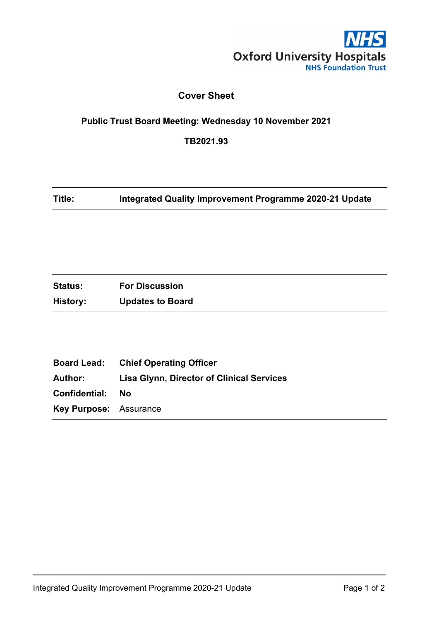

#### **Cover Sheet**

## **Public Trust Board Meeting: Wednesday 10 November 2021**

**TB2021.93**

**Title: Integrated Quality Improvement Programme 2020-21 Update**

| <b>Status:</b> | <b>For Discussion</b>   |
|----------------|-------------------------|
| History:       | <b>Updates to Board</b> |

|                               | <b>Board Lead:</b> Chief Operating Officer       |
|-------------------------------|--------------------------------------------------|
| Author:                       | <b>Lisa Glynn, Director of Clinical Services</b> |
| Confidential:                 | - No                                             |
| <b>Key Purpose: Assurance</b> |                                                  |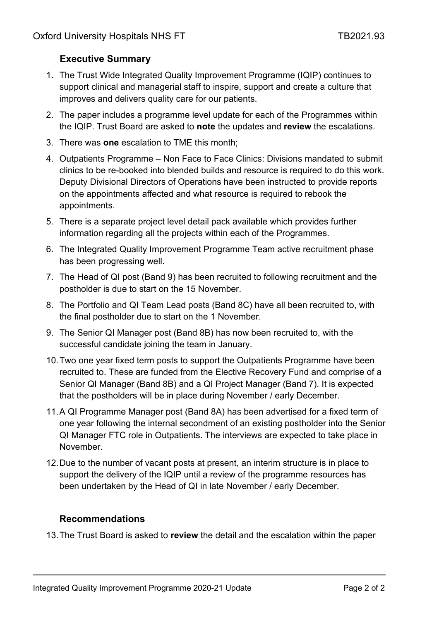### **Executive Summary**

- 1. The Trust Wide Integrated Quality Improvement Programme (IQIP) continues to support clinical and managerial staff to inspire, support and create a culture that improves and delivers quality care for our patients.
- 2. The paper includes a programme level update for each of the Programmes within the IQIP. Trust Board are asked to **note** the updates and **review** the escalations.
- 3. There was **one** escalation to TME this month;
- 4. Outpatients Programme Non Face to Face Clinics: Divisions mandated to submit clinics to be re-booked into blended builds and resource is required to do this work. Deputy Divisional Directors of Operations have been instructed to provide reports on the appointments affected and what resource is required to rebook the appointments.
- 5. There is a separate project level detail pack available which provides further information regarding all the projects within each of the Programmes.
- 6. The Integrated Quality Improvement Programme Team active recruitment phase has been progressing well.
- 7. The Head of QI post (Band 9) has been recruited to following recruitment and the postholder is due to start on the 15 November.
- 8. The Portfolio and QI Team Lead posts (Band 8C) have all been recruited to, with the final postholder due to start on the 1 November.
- 9. The Senior QI Manager post (Band 8B) has now been recruited to, with the successful candidate joining the team in January.
- 10.Two one year fixed term posts to support the Outpatients Programme have been recruited to. These are funded from the Elective Recovery Fund and comprise of a Senior QI Manager (Band 8B) and a QI Project Manager (Band 7). It is expected that the postholders will be in place during November / early December.
- 11.A QI Programme Manager post (Band 8A) has been advertised for a fixed term of one year following the internal secondment of an existing postholder into the Senior QI Manager FTC role in Outpatients. The interviews are expected to take place in November.
- 12.Due to the number of vacant posts at present, an interim structure is in place to support the delivery of the IQIP until a review of the programme resources has been undertaken by the Head of QI in late November / early December.

#### **Recommendations**

13.The Trust Board is asked to **review** the detail and the escalation within the paper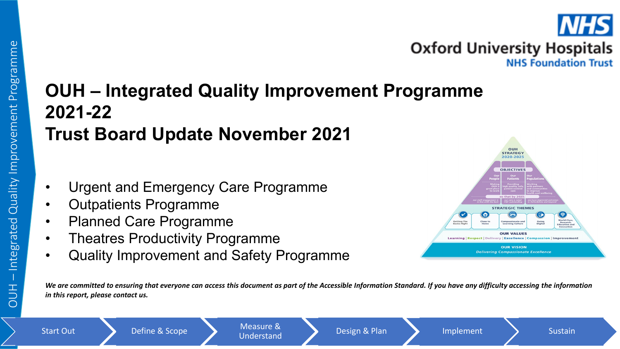

## **OUH – Integrated Quality Improvement Programme 2021-22 Trust Board Update November 2021**

- Urgent and Emergency Care Programme
- Outpatients Programme
- Planned Care Programme
- Theatres Productivity Programme
- Quality Improvement and Safety Programme



*We are committed to ensuring that everyone can access this document as part of the Accessible Information Standard. If you have any difficulty accessing the information in this report, please contact us.*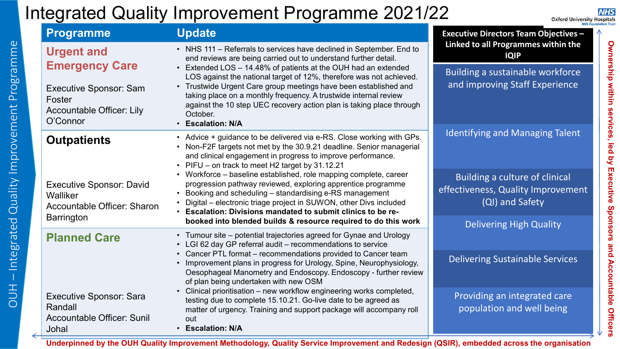## Integrated Quality Improvement Programme 2021/22

**NHS Oxford University Hospitals** 

**Ownership within services, led by Executive Sponsors and Accountable Officers**

Ownership within services, led by Executive Sponsors and Accountable Officers

| <b>Programme</b>                                                                                                                                          | <b>Update</b>                                                                                                                                                                                                                                                                                                                    | <b>Executive Directors Team Objectives -</b>                       |
|-----------------------------------------------------------------------------------------------------------------------------------------------------------|----------------------------------------------------------------------------------------------------------------------------------------------------------------------------------------------------------------------------------------------------------------------------------------------------------------------------------|--------------------------------------------------------------------|
| <b>Urgent and</b>                                                                                                                                         | • NHS 111 - Referrals to services have declined in September. End to<br>end reviews are being carried out to understand further detail.                                                                                                                                                                                          | Linked to all Programmes within the<br><b>IQIP</b>                 |
| <b>Emergency Care</b><br><b>Executive Sponsor: Sam</b>                                                                                                    | • Extended LOS - 14.48% of patients at the OUH had an extended<br>LOS against the national target of 12%, therefore was not achieved.<br>• Trustwide Urgent Care group meetings have been established and<br>taking place on a monthly frequency. A trustwide internal review                                                    | Building a sustainable workforce<br>and improving Staff Experience |
| Foster<br>Accountable Officer: Lily<br>O'Connor                                                                                                           | against the 10 step UEC recovery action plan is taking place through<br>October.<br>• Escalation: N/A                                                                                                                                                                                                                            |                                                                    |
| <b>Outpatients</b>                                                                                                                                        | • Advice + guidance to be delivered via e-RS. Close working with GPs.<br>• Non-F2F targets not met by the 30.9.21 deadline. Senior managerial<br>and clinical engagement in progress to improve performance.<br>• PIFU - on track to meet H2 target by 31.12.21                                                                  | <b>Identifying and Managing Talent</b>                             |
| <b>Executive Sponsor: David</b><br>Walliker<br>Accountable Officer: Sharon                                                                                | • Workforce – baseline established, role mapping complete, career<br>progression pathway reviewed, exploring apprentice programme<br>Booking and scheduling - standardising e-RS management<br>Digital – electronic triage project in SUWON, other Divs included<br>• Escalation: Divisions mandated to submit clinics to be re- |                                                                    |
| <b>Barrington</b>                                                                                                                                         | booked into blended builds & resource required to do this work                                                                                                                                                                                                                                                                   | <b>Delivering High Quality</b>                                     |
| • Tumour site – potential trajectories agreed for Gynae and Urology<br><b>Planned Care</b><br>• LGI 62 day GP referral audit - recommendations to service |                                                                                                                                                                                                                                                                                                                                  |                                                                    |
|                                                                                                                                                           | • Cancer PTL format – recommendations provided to Cancer team<br>• Improvement plans in progress for Urology, Spine, Neurophysiology,<br>Oesophageal Manometry and Endoscopy. Endoscopy - further review<br>of plan being undertaken with new OSM                                                                                | <b>Delivering Sustainable Services</b>                             |
| <b>Executive Sponsor: Sara</b><br>Randall<br><b>Accountable Officer: Sunil</b><br>Johal                                                                   | • Clinical prioritisation – new workflow engineering works completed,<br>testing due to complete 15.10.21. Go-live date to be agreed as<br>matter of urgency. Training and support package will accompany roll<br>out<br>• Escalation: N/A                                                                                       | Providing an integrated care<br>population and well being          |

**Underpinned by the OUH Quality Improvement Methodology, Quality Service Improvement and Redesign (QSIR), embedded across the organisation**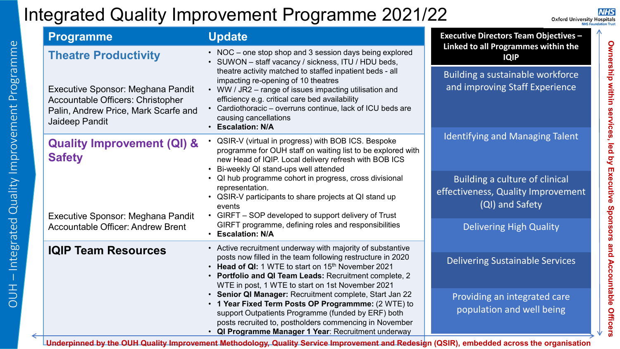## Integrated Quality Improvement Programme 2021/22

**NHS Oxford University Hospitals** 

**Ownership within services, led by Executive Sponsors and Accountable Officers**

Ownership within services, led by Executive Sponsors and Accountable Officers

|  | <b>Programme</b>                                                                                                                 | <b>Update</b>                                                                                                                                                                                                                                                                                                           | <b>Executive Directors Team Objectives -</b><br>Linked to all Programmes within the<br><b>IQIP</b> |  |
|--|----------------------------------------------------------------------------------------------------------------------------------|-------------------------------------------------------------------------------------------------------------------------------------------------------------------------------------------------------------------------------------------------------------------------------------------------------------------------|----------------------------------------------------------------------------------------------------|--|
|  | <b>Theatre Productivity</b>                                                                                                      | • NOC – one stop shop and 3 session days being explored<br>• SUWON - staff vacancy / sickness, ITU / HDU beds,                                                                                                                                                                                                          |                                                                                                    |  |
|  | Executive Sponsor: Meghana Pandit<br>Accountable Officers: Christopher<br>Palin, Andrew Price, Mark Scarfe and<br>Jaideep Pandit | theatre activity matched to staffed inpatient beds - all<br>impacting re-opening of 10 theatres<br>• WW / JR2 – range of issues impacting utilisation and<br>efficiency e.g. critical care bed availability<br>• Cardiothoracic - overruns continue, lack of ICU beds are<br>causing cancellations<br>• Escalation: N/A | Building a sustainable workforce<br>and improving Staff Experience                                 |  |
|  | <b>Quality Improvement (QI) &amp;</b><br><b>Safety</b>                                                                           | • QSIR-V (virtual in progress) with BOB ICS. Bespoke<br>programme for OUH staff on waiting list to be explored with<br>new Head of IQIP. Local delivery refresh with BOB ICS<br>Bi-weekly QI stand-ups well attended                                                                                                    | <b>Identifying and Managing Talent</b>                                                             |  |
|  | Executive Sponsor: Meghana Pandit                                                                                                | • QI hub programme cohort in progress, cross divisional<br>representation.<br>• QSIR-V participants to share projects at QI stand up<br>events<br>• GIRFT – SOP developed to support delivery of Trust                                                                                                                  | Building a culture of clinical<br>effectiveness, Quality Improvement<br>(QI) and Safety            |  |
|  | <b>Accountable Officer: Andrew Brent</b>                                                                                         | GIRFT programme, defining roles and responsibilities<br>• Escalation: N/A                                                                                                                                                                                                                                               | <b>Delivering High Quality</b>                                                                     |  |
|  | <b>IQIP Team Resources</b>                                                                                                       | • Active recruitment underway with majority of substantive<br>posts now filled in the team following restructure in 2020<br>• Head of QI: 1 WTE to start on 15 <sup>th</sup> November 2021<br>• Portfolio and QI Team Leads: Recruitment complete, 2<br>WTE in post, 1 WTE to start on 1st November 2021                | <b>Delivering Sustainable Services</b>                                                             |  |
|  |                                                                                                                                  | • Senior QI Manager: Recruitment complete, Start Jan 22<br>• 1 Year Fixed Term Posts OP Programmme: (2 WTE) to<br>support Outpatients Programme (funded by ERF) both<br>posts recruited to, postholders commencing in November<br>• QI Programme Manager 1 Year: Recruitment underway                                   | Providing an integrated care<br>population and well being                                          |  |

**Underpinned by the OUH Quality Improvement Methodology, Quality Service Improvement and Redesign (QSIR), embedded across the organisation**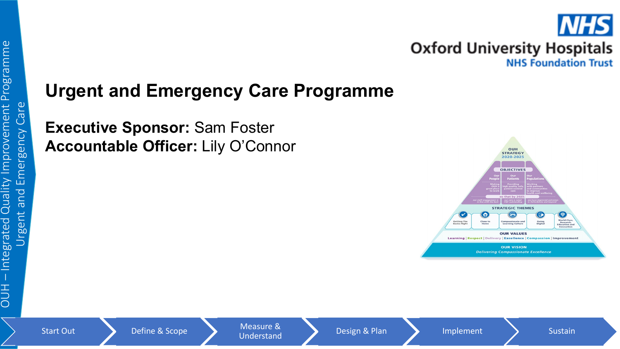# **Urgent and Emergency Care Programme**

**Executive Sponsor:** Sam Foster **Accountable Officer:** Lily O'Connor

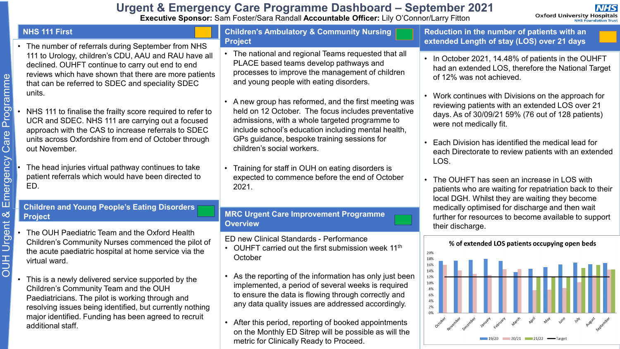## **Urgent & Emergency Care Programme Dashboard – September 2021**

**Executive Sponsor:** Sam Foster/Sara Randall **Accountable Officer:** Lily O'Connor/Larry Fitton

#### **NHS 111 First**

- The number of referrals during September from NHS 111 to Urology, children's CDU, AAU and RAU have all declined. OUHFT continue to carry out end to end reviews which have shown that there are more patients that can be referred to SDEC and speciality SDEC units.
- NHS 111 to finalise the frailty score required to refer to UCR and SDEC. NHS 111 are carrying out a focused approach with the CAS to increase referrals to SDEC units across Oxfordshire from end of October through out November.
- The head injuries virtual pathway continues to take patient referrals which would have been directed to ED.

#### **Children's Ambulatory & Community Nursing Project**

- The national and regional Teams requested that all PLACE based teams develop pathways and processes to improve the management of children and young people with eating disorders.
- A new group has reformed, and the first meeting was held on 12 October. The focus includes preventative admissions, with a whole targeted programme to include school's education including mental health, GPs guidance, bespoke training sessions for children's social workers.
- Training for staff in OUH on eating disorders is expected to commence before the end of October 2021.

#### **Children and Young People's Eating Disorders Project**

- The OUH Paediatric Team and the Oxford Health Children's Community Nurses commenced the pilot of the acute paediatric hospital at home service via the virtual ward.
- This is a newly delivered service supported by the Children's Community Team and the OUH Paediatricians. The pilot is working through and resolving issues being identified, but currently nothing major identified. Funding has been agreed to recruit additional staff.

#### **MRC Urgent Care Improvement Programme Overview**

ED new Clinical Standards - Performance

- OUHFT carried out the first submission week  $11<sup>th</sup>$ **October**
- As the reporting of the information has only just been implemented, a period of several weeks is required to ensure the data is flowing through correctly and any data quality issues are addressed accordingly.
- After this period, reporting of booked appointments on the Monthly ED Sitrep will be possible as will the metric for Clinically Ready to Proceed.

**Reduction in the number of patients with an extended Length of stay (LOS) over 21 days**

- In October 2021, 14.48% of patients in the OUHFT had an extended LOS, therefore the National Target of 12% was not achieved.
- Work continues with Divisions on the approach for reviewing patients with an extended LOS over 21 days. As of 30/09/21 59% (76 out of 128 patients) were not medically fit.
- Each Division has identified the medical lead for each Directorate to review patients with an extended LOS.
- The OUHFT has seen an increase in LOS with patients who are waiting for repatriation back to their local DGH. Whilst they are waiting they become medically optimised for discharge and then wait further for resources to become available to support their discharge.

#### 20% 18% 16% 14% 12% 10% 8% 6% 4%  $20/21$   $21/22$

#### % of extended LOS patients occupying open beds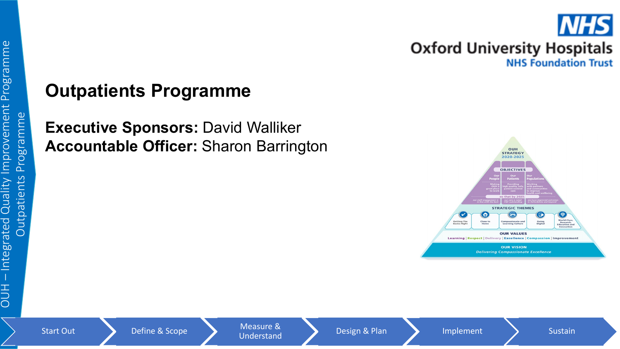

# **Outpatients Programme**

**Executive Sponsors: David Walliker Accountable Officer:** Sharon Barrington

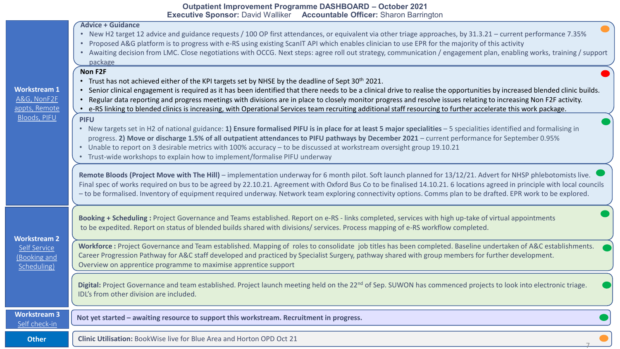|                                          | <b>Outpatient Improvement Programme DASHBOARD - October 2021</b> |
|------------------------------------------|------------------------------------------------------------------|
| <b>Executive Sponsor: David Walliker</b> | <b>Accountable Officer: Sharon Barrington</b>                    |

| <b>Workstream 1</b><br>A&G, NonF2F<br>appts, Remote<br>Bloods, PIFU | <b>Advice + Guidance</b><br>• New H2 target 12 advice and guidance requests / 100 OP first attendances, or equivalent via other triage approaches, by 31.3.21 – current performance 7.35%<br>• Proposed A&G platform is to progress with e-RS using existing ScanIT API which enables clinician to use EPR for the majority of this activity<br>• Awaiting decision from LMC. Close negotiations with OCCG. Next steps: agree roll out strategy, communication / engagement plan, enabling works, training / support<br>package<br>Non F2F<br>• Trust has not achieved either of the KPI targets set by NHSE by the deadline of Sept 30 <sup>th</sup> 2021.<br>• Senior clinical engagement is required as it has been identified that there needs to be a clinical drive to realise the opportunities by increased blended clinic builds.<br>Regular data reporting and progress meetings with divisions are in place to closely monitor progress and resolve issues relating to increasing Non F2F activity.<br>$\bullet$<br>• e-RS linking to blended clinics is increasing, with Operational Services team recruiting additional staff resourcing to further accelerate this work package.<br><b>PIFU</b><br>• New targets set in H2 of national guidance: 1) Ensure formalised PIFU is in place for at least 5 major specialities - 5 specialities identified and formalising in<br>progress. 2) Move or discharge 1.5% of all outpatient attendances to PIFU pathways by December 2021 - current performance for September 0.95%<br>Unable to report on 3 desirable metrics with 100% accuracy - to be discussed at workstream oversight group 19.10.21<br>Trust-wide workshops to explain how to implement/formalise PIFU underway<br>Remote Bloods (Project Move with The Hill) - implementation underway for 6 month pilot. Soft launch planned for 13/12/21. Advert for NHSP phlebotomists live.<br>Final spec of works required on bus to be agreed by 22.10.21. Agreement with Oxford Bus Co to be finalised 14.10.21. 6 locations agreed in principle with local councils<br>- to be formalised. Inventory of equipment required underway. Network team exploring connectivity options. Comms plan to be drafted. EPR work to be explored. |
|---------------------------------------------------------------------|---------------------------------------------------------------------------------------------------------------------------------------------------------------------------------------------------------------------------------------------------------------------------------------------------------------------------------------------------------------------------------------------------------------------------------------------------------------------------------------------------------------------------------------------------------------------------------------------------------------------------------------------------------------------------------------------------------------------------------------------------------------------------------------------------------------------------------------------------------------------------------------------------------------------------------------------------------------------------------------------------------------------------------------------------------------------------------------------------------------------------------------------------------------------------------------------------------------------------------------------------------------------------------------------------------------------------------------------------------------------------------------------------------------------------------------------------------------------------------------------------------------------------------------------------------------------------------------------------------------------------------------------------------------------------------------------------------------------------------------------------------------------------------------------------------------------------------------------------------------------------------------------------------------------------------------------------------------------------------------------------------------------------------------------------------------------------------------------------------------------------------------------------------------------------------------------------------------------------------------------------------|
| <b>Workstream 2</b>                                                 | Booking + Scheduling: Project Governance and Teams established. Report on e-RS - links completed, services with high up-take of virtual appointments<br>to be expedited. Report on status of blended builds shared with divisions/ services. Process mapping of e-RS workflow completed.                                                                                                                                                                                                                                                                                                                                                                                                                                                                                                                                                                                                                                                                                                                                                                                                                                                                                                                                                                                                                                                                                                                                                                                                                                                                                                                                                                                                                                                                                                                                                                                                                                                                                                                                                                                                                                                                                                                                                                |
| Self Service<br>(Booking and<br>Scheduling)                         | Workforce: Project Governance and Team established. Mapping of roles to consolidate job titles has been completed. Baseline undertaken of A&C establishments.<br>Career Progression Pathway for A&C staff developed and practiced by Specialist Surgery, pathway shared with group members for further development.<br>Overview on apprentice programme to maximise apprentice support                                                                                                                                                                                                                                                                                                                                                                                                                                                                                                                                                                                                                                                                                                                                                                                                                                                                                                                                                                                                                                                                                                                                                                                                                                                                                                                                                                                                                                                                                                                                                                                                                                                                                                                                                                                                                                                                  |
|                                                                     | Digital: Project Governance and team established. Project launch meeting held on the 22 <sup>nd</sup> of Sep. SUWON has commenced projects to look into electronic triage.<br>IDL's from other division are included.                                                                                                                                                                                                                                                                                                                                                                                                                                                                                                                                                                                                                                                                                                                                                                                                                                                                                                                                                                                                                                                                                                                                                                                                                                                                                                                                                                                                                                                                                                                                                                                                                                                                                                                                                                                                                                                                                                                                                                                                                                   |
| <b>Workstream 3</b><br>Self check-in                                | Not yet started - awaiting resource to support this workstream. Recruitment in progress.                                                                                                                                                                                                                                                                                                                                                                                                                                                                                                                                                                                                                                                                                                                                                                                                                                                                                                                                                                                                                                                                                                                                                                                                                                                                                                                                                                                                                                                                                                                                                                                                                                                                                                                                                                                                                                                                                                                                                                                                                                                                                                                                                                |
| <b>Other</b>                                                        | Clinic Utilisation: BookWise live for Blue Area and Horton OPD Oct 21                                                                                                                                                                                                                                                                                                                                                                                                                                                                                                                                                                                                                                                                                                                                                                                                                                                                                                                                                                                                                                                                                                                                                                                                                                                                                                                                                                                                                                                                                                                                                                                                                                                                                                                                                                                                                                                                                                                                                                                                                                                                                                                                                                                   |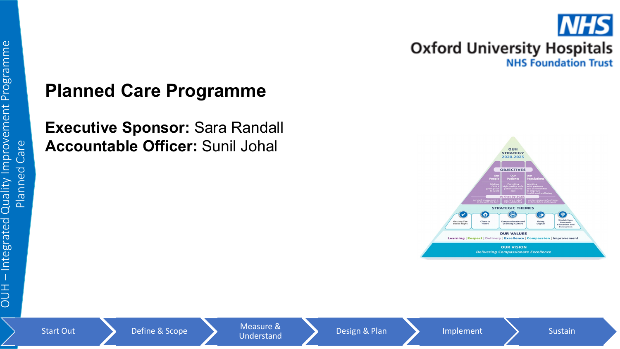

## **Planned Care Programme**

**Executive Sponsor:** Sara Randall **Accountable Officer:** Sunil Johal

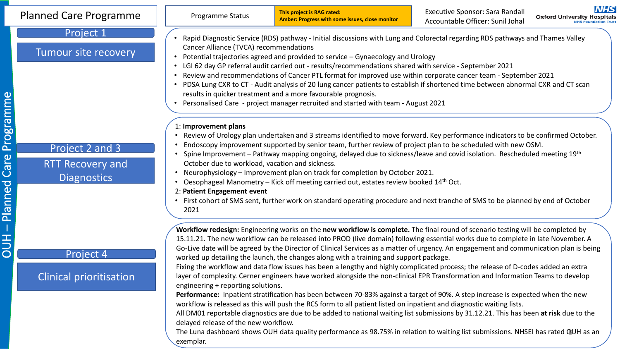| <b>Planned Care Programme</b>                                                                                                                                                                                                                                                                                                                                                                                                                                                                                                                                                                                                                                                                                                                                                                                                                                                                                                                                                                                                                                                                                                                                                                                                                                                                                                                                                                                                                                        | Programme Status                                                                                                                                                                                                                                                                                                                                                                                                                                                                                                                                                                                                                                                                                                                                                                                                                                                                                                                                                                                                                                                                                                                                                                                                                                                                                                                                                                                                                                                                                                                                                                                                       | This project is RAG rated:<br>Amber: Progress with some issues, close monitor | Executive Sponsor: Sara Randall<br>Accountable Officer: Sunil Johal | <b>NHS</b><br><b>Oxford University Hospitals</b> |
|----------------------------------------------------------------------------------------------------------------------------------------------------------------------------------------------------------------------------------------------------------------------------------------------------------------------------------------------------------------------------------------------------------------------------------------------------------------------------------------------------------------------------------------------------------------------------------------------------------------------------------------------------------------------------------------------------------------------------------------------------------------------------------------------------------------------------------------------------------------------------------------------------------------------------------------------------------------------------------------------------------------------------------------------------------------------------------------------------------------------------------------------------------------------------------------------------------------------------------------------------------------------------------------------------------------------------------------------------------------------------------------------------------------------------------------------------------------------|------------------------------------------------------------------------------------------------------------------------------------------------------------------------------------------------------------------------------------------------------------------------------------------------------------------------------------------------------------------------------------------------------------------------------------------------------------------------------------------------------------------------------------------------------------------------------------------------------------------------------------------------------------------------------------------------------------------------------------------------------------------------------------------------------------------------------------------------------------------------------------------------------------------------------------------------------------------------------------------------------------------------------------------------------------------------------------------------------------------------------------------------------------------------------------------------------------------------------------------------------------------------------------------------------------------------------------------------------------------------------------------------------------------------------------------------------------------------------------------------------------------------------------------------------------------------------------------------------------------------|-------------------------------------------------------------------------------|---------------------------------------------------------------------|--------------------------------------------------|
| Project 1<br>Tumour site recovery                                                                                                                                                                                                                                                                                                                                                                                                                                                                                                                                                                                                                                                                                                                                                                                                                                                                                                                                                                                                                                                                                                                                                                                                                                                                                                                                                                                                                                    | Rapid Diagnostic Service (RDS) pathway - Initial discussions with Lung and Colorectal regarding RDS pathways and Thames Valley<br>Cancer Alliance (TVCA) recommendations<br>Potential trajectories agreed and provided to service - Gynaecology and Urology<br>LGI 62 day GP referral audit carried out - results/recommendations shared with service - September 2021<br>$\bullet$<br>Review and recommendations of Cancer PTL format for improved use within corporate cancer team - September 2021<br>PDSA Lung CXR to CT - Audit analysis of 20 lung cancer patients to establish if shortened time between abnormal CXR and CT scan<br>results in quicker treatment and a more favourable prognosis.<br>Personalised Care - project manager recruited and started with team - August 2021<br>1: Improvement plans<br>Review of Urology plan undertaken and 3 streams identified to move forward. Key performance indicators to be confirmed October.<br>Endoscopy improvement supported by senior team, further review of project plan to be scheduled with new OSM.<br>Spine Improvement – Pathway mapping ongoing, delayed due to sickness/leave and covid isolation. Rescheduled meeting 19th<br>October due to workload, vacation and sickness.<br>Neurophysiology - Improvement plan on track for completion by October 2021.<br>$\bullet$<br>Oesophageal Manometry - Kick off meeting carried out, estates review booked 14th Oct.<br>2: Patient Engagement event<br>First cohort of SMS sent, further work on standard operating procedure and next tranche of SMS to be planned by end of October<br>2021 |                                                                               |                                                                     |                                                  |
| Project 2 and 3<br><b>RTT Recovery and</b><br><b>Diagnostics</b>                                                                                                                                                                                                                                                                                                                                                                                                                                                                                                                                                                                                                                                                                                                                                                                                                                                                                                                                                                                                                                                                                                                                                                                                                                                                                                                                                                                                     |                                                                                                                                                                                                                                                                                                                                                                                                                                                                                                                                                                                                                                                                                                                                                                                                                                                                                                                                                                                                                                                                                                                                                                                                                                                                                                                                                                                                                                                                                                                                                                                                                        |                                                                               |                                                                     |                                                  |
| Workflow redesign: Engineering works on the new workflow is complete. The final round of scenario testing will be completed by<br>15.11.21. The new workflow can be released into PROD (live domain) following essential works due to complete in late November. A<br>Go-Live date will be agreed by the Director of Clinical Services as a matter of urgency. An engagement and communication plan is being<br>Project 4<br>worked up detailing the launch, the changes along with a training and support package.<br>Fixing the workflow and data flow issues has been a lengthy and highly complicated process; the release of D-codes added an extra<br><b>Clinical prioritisation</b><br>layer of complexity. Cerner engineers have worked alongside the non-clinical EPR Transformation and Information Teams to develop<br>engineering + reporting solutions.<br>Performance: Inpatient stratification has been between 70-83% against a target of 90%. A step increase is expected when the new<br>workflow is released as this will push the RCS form to all patient listed on inpatient and diagnostic waiting lists.<br>All DM01 reportable diagnostics are due to be added to national waiting list submissions by 31.12.21. This has been at risk due to the<br>delayed release of the new workflow.<br>The Luna dashboard shows OUH data quality performance as 98.75% in relation to waiting list submissions. NHSEI has rated QUH as an<br>exemplar. |                                                                                                                                                                                                                                                                                                                                                                                                                                                                                                                                                                                                                                                                                                                                                                                                                                                                                                                                                                                                                                                                                                                                                                                                                                                                                                                                                                                                                                                                                                                                                                                                                        |                                                                               |                                                                     |                                                  |

# - Planned Care Programme – Planned Care Programme OUH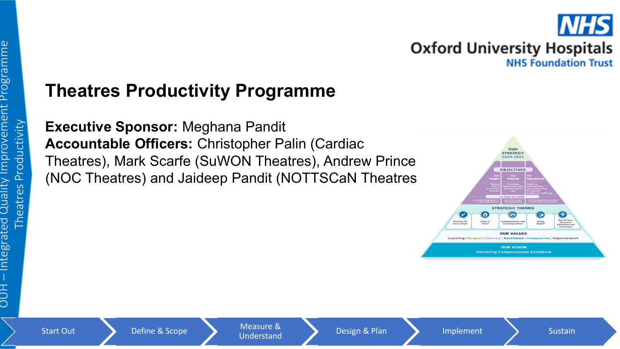# **Theatres Productivity Programme**

**Executive Sponsor:** Meghana Pandit **Accountable Officers:** Christopher Palin (Cardiac Theatres), Mark Scarfe (SuWON Theatres), Andrew Prince (NOC Theatres) and Jaideep Pandit (NOTTSCaN Theatres)

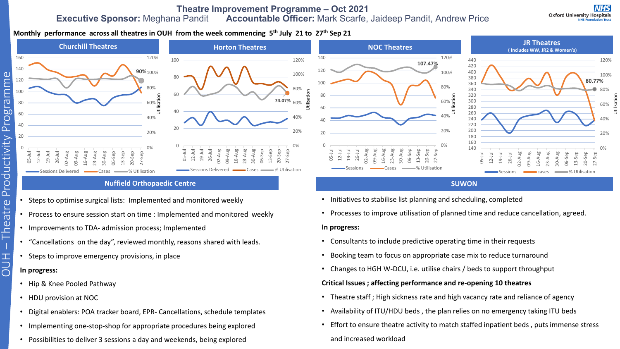#### **Theatre Improvement Programme – Oct 2021 Executive Sponsor:** Meghana Pandit **Accountable Officer:** Mark Scarfe, Jaideep Pandit, Andrew Price

#### **Monthly performance across all theatres in OUH from the week commencing 5th July 21 to 27th Sep 21**





#### **Nuffield Orthopaedic Centre**

- Steps to optimise surgical lists: Implemented and monitored weekly
- Process to ensure session start on time : Implemented and monitored weekly
- Improvements to TDA- admission process; Implemented
- "Cancellations on the day", reviewed monthly, reasons shared with leads.
- Steps to improve emergency provisions, in place

#### **In progress:**

OUH

- Theatre

– Theatre Productivity Programme

Productivity

Programme

- Hip & Knee Pooled Pathway
- HDU provision at NOC
- Digital enablers: POA tracker board, EPR- Cancellations, schedule templates
- Implementing one-stop-shop for appropriate procedures being explored
- Possibilities to deliver 3 sessions a day and weekends, being explored



#### **SUWON**

- Initiatives to stabilise list planning and scheduling, completed
- Processes to improve utilisation of planned time and reduce cancellation, agreed.

#### **In progress:**

- Consultants to include predictive operating time in their requests
- Booking team to focus on appropriate case mix to reduce turnaround
- Changes to HGH W-DCU, i.e. utilise chairs / beds to support throughput

#### **Critical Issues ; affecting performance and re-opening 10 theatres**

- Theatre staff ; High sickness rate and high vacancy rate and reliance of agency
- Availability of ITU/HDU beds , the plan relies on no emergency taking ITU beds
- Effort to ensure theatre activity to match staffed inpatient beds , puts immense stress and increased workload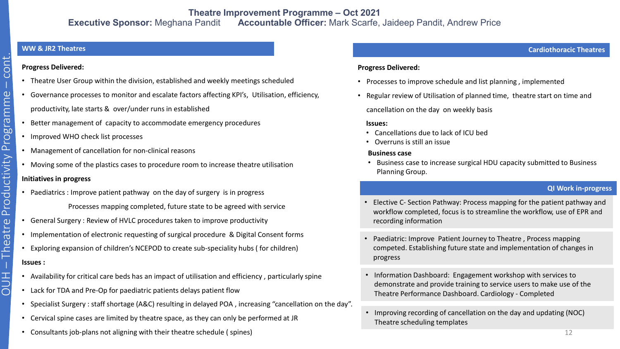#### **WW & JR2 Theatres**

#### **Progress Delivered:**

- Theatre User Group within the division, established and weekly meetings scheduled
- Governance processes to monitor and escalate factors affecting KPI's, Utilisation, efficiency, productivity, late starts & over/under runs in established
- Better management of capacity to accommodate emergency procedures
- Improved WHO check list processes
- Management of cancellation for non-clinical reasons
- Moving some of the plastics cases to procedure room to increase theatre utilisation **Initiatives in progress**
- Paediatrics : Improve patient pathway on the day of surgery is in progress Processes mapping completed, future state to be agreed with service
- General Surgery : Review of HVLC procedures taken to improve productivity
- Implementation of electronic requesting of surgical procedure & Digital Consent forms
- Exploring expansion of children's NCEPOD to create sub-speciality hubs ( for children)

#### **Issues :**

- Availability for critical care beds has an impact of utilisation and efficiency , particularly spine
- Lack for TDA and Pre-Op for paediatric patients delays patient flow
- Specialist Surgery : staff shortage (A&C) resulting in delayed POA , increasing "cancellation on the day".
- Cervical spine cases are limited by theatre space, as they can only be performed at JR
- Consultants job-plans not aligning with their theatre schedule ( spines)

#### **Cardiothoracic Theatres**

#### **Progress Delivered:**

- Processes to improve schedule and list planning , implemented
- Regular review of Utilisation of planned time, theatre start on time and cancellation on the day on weekly basis

#### **Issues:**

- Cancellations due to lack of ICU bed
- Overruns is still an issue

#### **Business case**

• Business case to increase surgical HDU capacity submitted to Business Planning Group.

#### **QI Work in-progress**

- Elective C- Section Pathway: Process mapping for the patient pathway and workflow completed, focus is to streamline the workflow, use of EPR and recording information
- Paediatric: Improve Patient Journey to Theatre , Process mapping competed. Establishing future state and implementation of changes in progress
- Information Dashboard: Engagement workshop with services to demonstrate and provide training to service users to make use of the Theatre Performance Dashboard. Cardiology - Completed
- Improving recording of cancellation on the day and updating (NOC) Theatre scheduling templates

# – cont. – Theatre Productivity Programme Productivity Programme  $OUH - Theatre$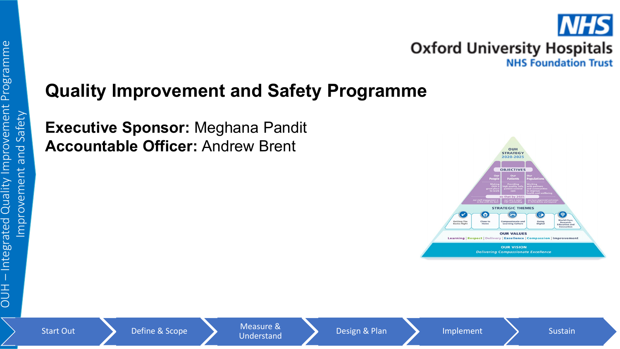

## **Quality Improvement and Safety Programme**

**Executive Sponsor:** Meghana Pandit **Accountable Officer:** Andrew Brent